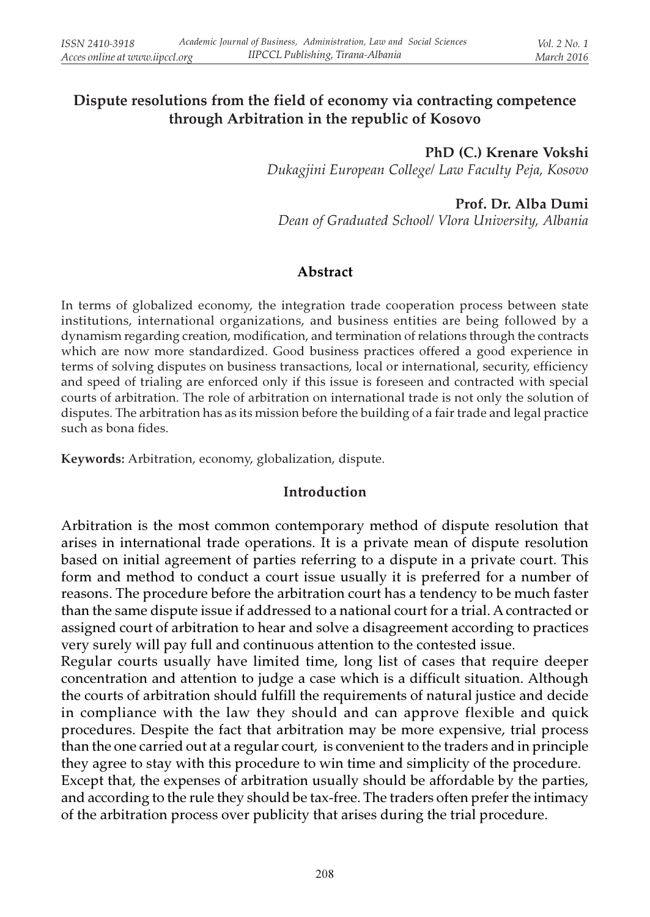## Dispute resolutions from the field of economy via contracting competence through Arbitration in the republic of Kosovo

PhD (C.) Krenare Vokshi Dukagjini European College/ Law Faculty Peja, Kosovo

#### Prof. Dr. Alba Dumi

Dean of Graduated School/ Vlora University, Albania

### Abstract

In terms of globalized economy, the integration trade cooperation process between state institutions, international organizations, and business entities are being followed by a dynamism regarding creation, modification, and termination of relations through the contracts which are now more standardized. Good business practices offered a good experience in terms of solving disputes on business transactions, local or international, security, efficiency and speed of trialing are enforced only if this issue is foreseen and contracted with special courts of arbitration. The role of arbitration on international trade is not only the solution of disputes. The arbitration has as its mission before the building of a fair trade and legal practice such as bona fides.

Keywords: Arbitration, economy, globalization, dispute.

#### Introduction

Arbitration is the most common contemporary method of dispute resolution that arises in international trade operations. It is a private mean of dispute resolution based on initial agreement of parties referring to a dispute in a private court. This form and method to conduct a court issue usually it is preferred for a number of reasons. The procedure before the arbitration court has a tendency to be much faster than the same dispute issue if addressed to a national court for a trial. A contracted or assigned court of arbitration to hear and solve a disagreement according to practices very surely will pay full and continuous attention to the contested issue.

Regular courts usually have limited time, long list of cases that require deeper concentration and attention to judge a case which is a difficult situation. Although the courts of arbitration should fulfill the requirements of natural justice and decide in compliance with the law they should and can approve flexible and quick procedures. Despite the fact that arbitration may be more expensive, trial process than the one carried out at a regular court, is convenient to the traders and in principle they agree to stay with this procedure to win time and simplicity of the procedure. Except that, the expenses of arbitration usually should be affordable by the parties, and according to the rule they should be tax-free. The traders often prefer the intimacy

of the arbitration process over publicity that arises during the trial procedure.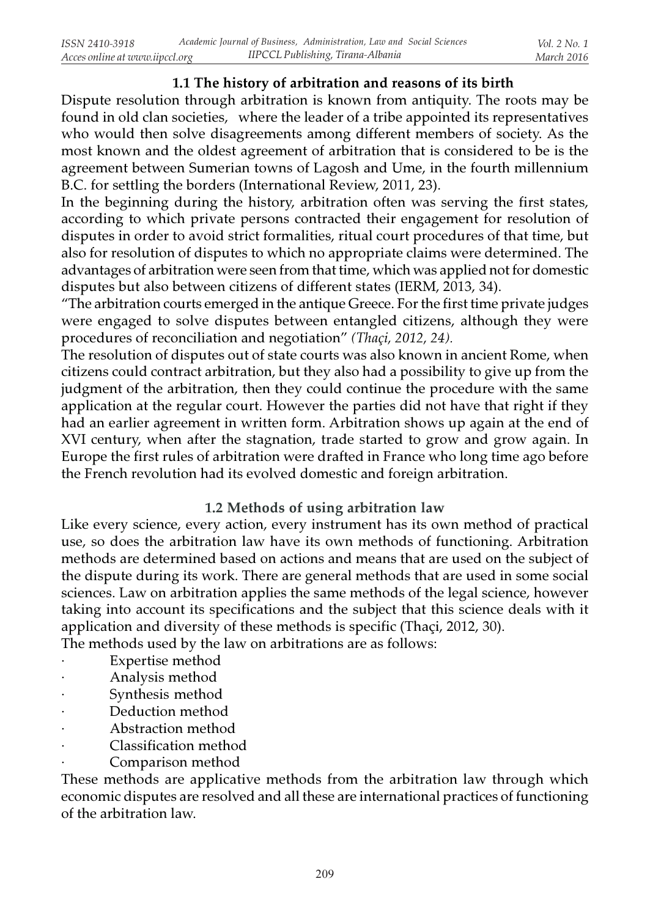## 1.1 The history of arbitration and reasons of its birth

Dispute resolution through arbitration is known from antiquity. The roots may be found in old clan societies, where the leader of a tribe appointed its representatives who would then solve disagreements among different members of society. As the most known and the oldest agreement of arbitration that is considered to be is the agreement between Sumerian towns of Lagosh and Ume, in the fourth millennium B.C. for settling the borders (International Review, 2011, 23).

In the beginning during the history, arbitration often was serving the first states, according to which private persons contracted their engagement for resolution of disputes in order to avoid strict formalities, ritual court procedures of that time, but also for resolution of disputes to which no appropriate claims were determined. The advantages of arbitration were seen from that time, which was applied not for domestic disputes but also between citizens of different states (IERM, 2013, 34).

"The arbitration courts emerged in the antique Greece. For the first time private judges were engaged to solve disputes between entangled citizens, although they were procedures of reconciliation and negotiation" (Thaçi, 2012, 24).

The resolution of disputes out of state courts was also known in ancient Rome, when citizens could contract arbitration, but they also had a possibility to give up from the judgment of the arbitration, then they could continue the procedure with the same application at the regular court. However the parties did not have that right if they had an earlier agreement in written form. Arbitration shows up again at the end of XVI century, when after the stagnation, trade started to grow and grow again. In Europe the first rules of arbitration were drafted in France who long time ago before the French revolution had its evolved domestic and foreign arbitration.

## 1.2 Methods of using arbitration law

Like every science, every action, every instrument has its own method of practical use, so does the arbitration law have its own methods of functioning. Arbitration methods are determined based on actions and means that are used on the subject of the dispute during its work. There are general methods that are used in some social sciences. Law on arbitration applies the same methods of the legal science, however taking into account its specifications and the subject that this science deals with it application and diversity of these methods is specific (Thaçi, 2012, 30).

The methods used by the law on arbitrations are as follows:

- Expertise method
- · Analysis method
- Synthesis method
- Deduction method
- · Abstraction method
- · Classification method
- Comparison method

These methods are applicative methods from the arbitration law through which economic disputes are resolved and all these are international practices of functioning of the arbitration law.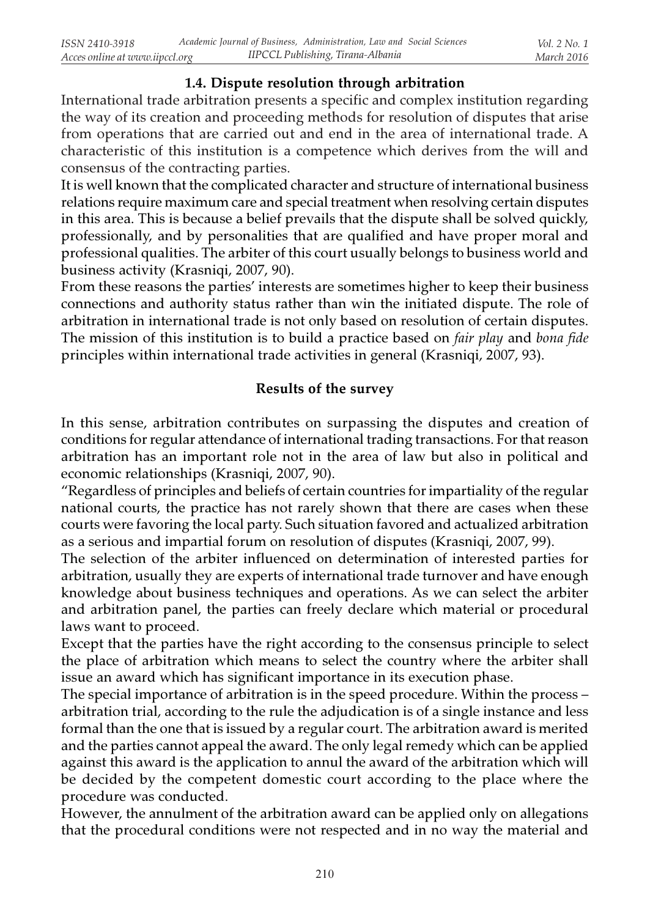## 1.4. Dispute resolution through arbitration

International trade arbitration presents a specific and complex institution regarding the way of its creation and proceeding methods for resolution of disputes that arise from operations that are carried out and end in the area of international trade. A characteristic of this institution is a competence which derives from the will and consensus of the contracting parties.

It is well known that the complicated character and structure of international business relations require maximum care and special treatment when resolving certain disputes in this area. This is because a belief prevails that the dispute shall be solved quickly, professionally, and by personalities that are qualified and have proper moral and professional qualities. The arbiter of this court usually belongs to business world and business activity (Krasniqi, 2007, 90).

From these reasons the parties' interests are sometimes higher to keep their business connections and authority status rather than win the initiated dispute. The role of arbitration in international trade is not only based on resolution of certain disputes. The mission of this institution is to build a practice based on *fair play* and *bona fide* principles within international trade activities in general (Krasniqi, 2007, 93).

## Results of the survey

In this sense, arbitration contributes on surpassing the disputes and creation of conditions for regular attendance of international trading transactions. For that reason arbitration has an important role not in the area of law but also in political and economic relationships (Krasniqi, 2007, 90).

"Regardless of principles and beliefs of certain countries for impartiality of the regular national courts, the practice has not rarely shown that there are cases when these courts were favoring the local party. Such situation favored and actualized arbitration as a serious and impartial forum on resolution of disputes (Krasniqi, 2007, 99).

The selection of the arbiter influenced on determination of interested parties for arbitration, usually they are experts of international trade turnover and have enough knowledge about business techniques and operations. As we can select the arbiter and arbitration panel, the parties can freely declare which material or procedural laws want to proceed.

Except that the parties have the right according to the consensus principle to select the place of arbitration which means to select the country where the arbiter shall issue an award which has significant importance in its execution phase.

The special importance of arbitration is in the speed procedure. Within the process – arbitration trial, according to the rule the adjudication is of a single instance and less formal than the one that is issued by a regular court. The arbitration award is merited and the parties cannot appeal the award. The only legal remedy which can be applied against this award is the application to annul the award of the arbitration which will be decided by the competent domestic court according to the place where the procedure was conducted.

However, the annulment of the arbitration award can be applied only on allegations that the procedural conditions were not respected and in no way the material and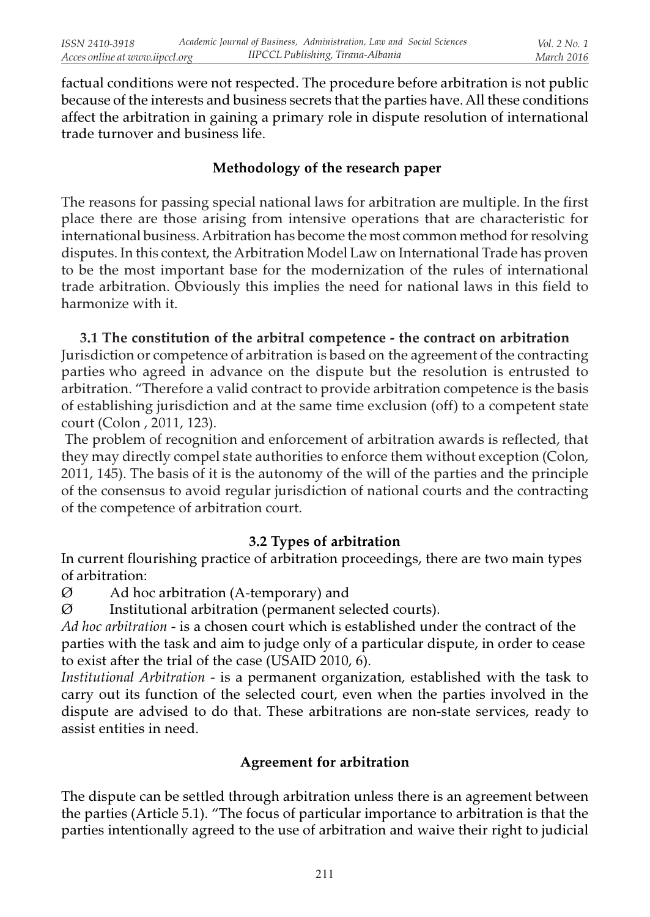factual conditions were not respected. The procedure before arbitration is not public because of the interests and business secrets that the parties have. All these conditions affect the arbitration in gaining a primary role in dispute resolution of international trade turnover and business life.

## Methodology of the research paper

The reasons for passing special national laws for arbitration are multiple. In the first place there are those arising from intensive operations that are characteristic for international business. Arbitration has become the most common method for resolving disputes. In this context, the Arbitration Model Law on International Trade has proven to be the most important base for the modernization of the rules of international trade arbitration. Obviously this implies the need for national laws in this field to harmonize with it.

### 3.1 The constitution of the arbitral competence - the contract on arbitration

Jurisdiction or competence of arbitration is based on the agreement of the contracting parties who agreed in advance on the dispute but the resolution is entrusted to arbitration. "Therefore a valid contract to provide arbitration competence is the basis of establishing jurisdiction and at the same time exclusion (off) to a competent state court (Colon , 2011, 123).

 The problem of recognition and enforcement of arbitration awards is reflected, that they may directly compel state authorities to enforce them without exception (Colon, 2011, 145). The basis of it is the autonomy of the will of the parties and the principle of the consensus to avoid regular jurisdiction of national courts and the contracting of the competence of arbitration court.

## 3.2 Types of arbitration

In current flourishing practice of arbitration proceedings, there are two main types of arbitration:

 $\varnothing$  Ad hoc arbitration (A-temporary) and

 $\varnothing$  Institutional arbitration (permanent selected courts).

Ad hoc arbitration - is a chosen court which is established under the contract of the parties with the task and aim to judge only of a particular dispute, in order to cease to exist after the trial of the case (USAID 2010, 6).

Institutional Arbitration - is a permanent organization, established with the task to carry out its function of the selected court, even when the parties involved in the dispute are advised to do that. These arbitrations are non-state services, ready to assist entities in need.

# Agreement for arbitration

The dispute can be settled through arbitration unless there is an agreement between the parties (Article 5.1). "The focus of particular importance to arbitration is that the parties intentionally agreed to the use of arbitration and waive their right to judicial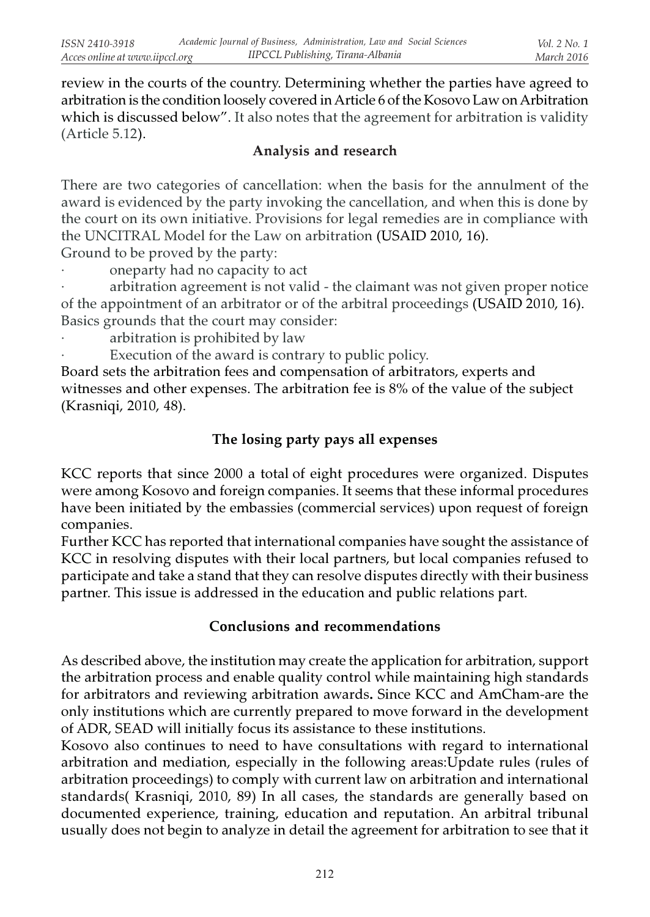review in the courts of the country. Determining whether the parties have agreed to arbitration is the condition loosely covered in Article 6 of the Kosovo Law on Arbitration which is discussed below". It also notes that the agreement for arbitration is validity (Article 5.12).

## Analysis and research

There are two categories of cancellation: when the basis for the annulment of the award is evidenced by the party invoking the cancellation, and when this is done by the court on its own initiative. Provisions for legal remedies are in compliance with the UNCITRAL Model for the Law on arbitration (USAID 2010, 16).

Ground to be proved by the party:

oneparty had no capacity to act

arbitration agreement is not valid - the claimant was not given proper notice of the appointment of an arbitrator or of the arbitral proceedings (USAID 2010, 16). Basics grounds that the court may consider:

- arbitration is prohibited by law
	- Execution of the award is contrary to public policy.

Board sets the arbitration fees and compensation of arbitrators, experts and witnesses and other expenses. The arbitration fee is 8% of the value of the subject (Krasniqi, 2010, 48).

# The losing party pays all expenses

KCC reports that since 2000 a total of eight procedures were organized. Disputes were among Kosovo and foreign companies. It seems that these informal procedures have been initiated by the embassies (commercial services) upon request of foreign companies.

Further KCC has reported that international companies have sought the assistance of KCC in resolving disputes with their local partners, but local companies refused to participate and take a stand that they can resolve disputes directly with their business partner. This issue is addressed in the education and public relations part.

# Conclusions and recommendations

As described above, the institution may create the application for arbitration, support the arbitration process and enable quality control while maintaining high standards for arbitrators and reviewing arbitration awards. Since KCC and AmCham-are the only institutions which are currently prepared to move forward in the development of ADR, SEAD will initially focus its assistance to these institutions.

Kosovo also continues to need to have consultations with regard to international arbitration and mediation, especially in the following areas:Update rules (rules of arbitration proceedings) to comply with current law on arbitration and international standards( Krasniqi, 2010, 89) In all cases, the standards are generally based on documented experience, training, education and reputation. An arbitral tribunal usually does not begin to analyze in detail the agreement for arbitration to see that it